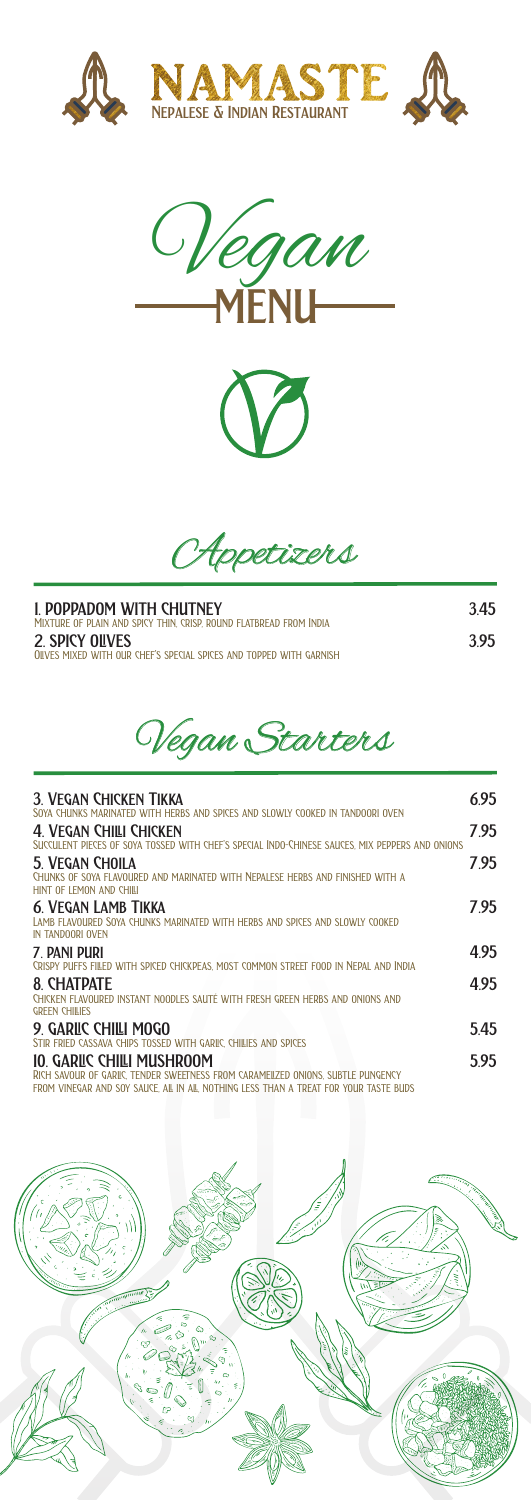







| I. POPPADOM WITH CHUTNEY<br>MIXTURE OF PLAIN AND SPICY THIN, CRISP, ROUND FLATBREAD FROM INDIA | 345 |
|------------------------------------------------------------------------------------------------|-----|
| <b>2. SPICY OUVES</b><br>OIIVES MIXED WITH OUR CHEF'S SPECIAL SPICES AND TOPPED WITH GARNISH   | 395 |



| 3. VEGAN CHICKEN TIKKA<br>SOYA CHUNKS MARINATED WITH HERBS AND SPICES AND SLOWLY COOKED IN TANDOORI OVEN                       | 6.95 |
|--------------------------------------------------------------------------------------------------------------------------------|------|
| 4 VEGAN CHILI CHICKEN<br>SUCCULENT PIECES OF SOYA TOSSED WITH CHEF'S SPECIAL INDO-CHINESE SAUCES. MIX PEPPERS AND ONIONS       | 795  |
| 5. VEGAN CHOILA<br>CHUNKS OF SOYA FLAVOURED AND MARINATED WITH NEPALESE HERBS AND FINISHED WITH A<br>HINT OF LEMON AND CHILL   | 7.95 |
| <b>6. VEGAN LAMB TIKKA</b><br>LAMB FLAVOURED SOYA CHUNKS MARINATED WITH HERBS AND SPICES AND SLOWLY COOKED<br>IN TANDOORI OVEN | 7.95 |
| 7 PANI PURI<br>CRISPY PUFFS FILED WITH SPICED CHICKPEAS. MOST COMMON STREET FOOD IN NEPAL AND INDIA                            | 495  |
| <b>8 CHATDATF</b><br>CHICKEN FLAVOURED INSTANT NOODLES SAUTÉ WITH FRESH GREEN HERBS AND ONIONS AND<br><b>GREEN CHILIES</b>     | 495  |
| 9 GARIIC CHIILI MOGO<br>STIR FRIED CASSAVA CHIPS TOSSED WITH GARIC, CHILLES AND SPICES                                         | 545  |
| 10. GARILC CHILI MUSHROOM<br>RICH SAVOUR OF GARIC. TENDER SWEETNESS FROM CARAMEILZED ONIONS. SUBTLE PUNGENCY                   | 5.95 |

 $\,$  vinegar and soy sauce, all in all, nothing less than a treat for your taste buds